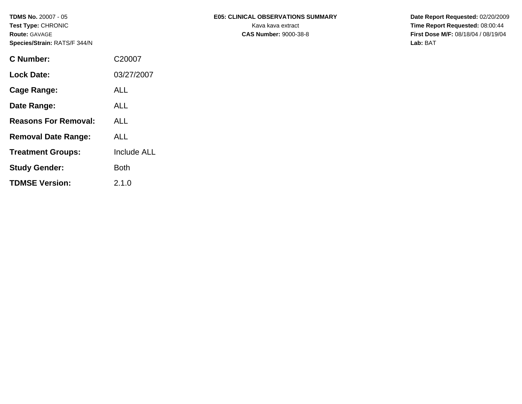| C Number:                   | C20007      |
|-----------------------------|-------------|
| <b>Lock Date:</b>           | 03/27/2007  |
| Cage Range:                 | <b>ALL</b>  |
| Date Range:                 | ALL.        |
| <b>Reasons For Removal:</b> | ALL         |
| <b>Removal Date Range:</b>  | ALL         |
| <b>Treatment Groups:</b>    | Include ALL |
| <b>Study Gender:</b>        | Both        |
| <b>TDMSE Version:</b>       | 2.1.0       |

# TDMS No. 20007 - 05 **EDS: CLINICAL OBSERVATIONS SUMMARY** Date Report Requested: 02/20/2009

**Test Type:** CHRONIC **Transfer CHRONIC Kava Report Requested:** 08:00:44 **Route:** GAVAGE **CAS Number:** 9000-38-8 **First Dose M/F:** 08/18/04 / 08/19/04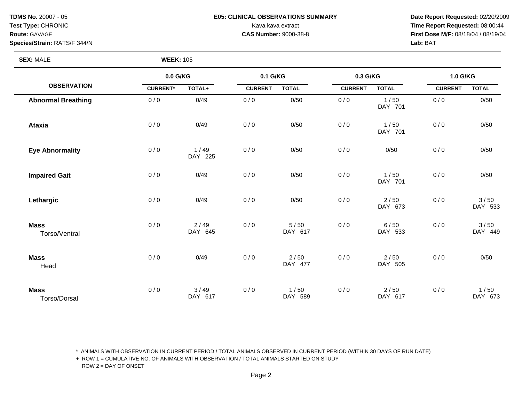# **TDMS No.** 20007 - 05 **E05: CLINICAL OBSERVATIONS SUMMARY Date Report Requested:** 02/20/2009

**Test Type:** CHRONIC **Transfer CHRONIC** Kava Rava extract Kava extract **Time Report Requested:** 08:00:44 **Route:** GAVAGE **CAS Number:** 9000-38-8 **First Dose M/F:** 08/18/04 / 08/19/04

**SEX: MALE** 

| <b>WEEK: 105</b> |  |
|------------------|--|
|------------------|--|

|                              | 0.0 G/KG        |                 | 0.1 G/KG       |                 | 0.3 G/KG       |                   | 1.0 G/KG       |                 |
|------------------------------|-----------------|-----------------|----------------|-----------------|----------------|-------------------|----------------|-----------------|
| <b>OBSERVATION</b>           | <b>CURRENT*</b> | TOTAL+          | <b>CURRENT</b> | <b>TOTAL</b>    | <b>CURRENT</b> | <b>TOTAL</b>      | <b>CURRENT</b> | <b>TOTAL</b>    |
| <b>Abnormal Breathing</b>    | 0/0             | 0/49            | 0/0            | 0/50            | 0/0            | 1/50<br>DAY 701   | 0/0            | 0/50            |
| <b>Ataxia</b>                | 0/0             | 0/49            | 0/0            | 0/50            | 0/0            | 1/50<br>DAY 701   | 0/0            | 0/50            |
| <b>Eye Abnormality</b>       | 0/0             | 1/49<br>DAY 225 | 0/0            | 0/50            | 0/0            | 0/50              | 0/0            | 0/50            |
| <b>Impaired Gait</b>         | 0/0             | 0/49            | 0/0            | 0/50            | 0/0            | 1/50<br>DAY 701   | 0/0            | 0/50            |
| Lethargic                    | 0/0             | 0/49            | 0/0            | 0/50            | 0/0            | $2/50$<br>DAY 673 | 0/0            | 3/50<br>DAY 533 |
| <b>Mass</b><br>Torso/Ventral | 0/0             | 2/49<br>DAY 645 | 0/0            | 5/50<br>DAY 617 | 0/0            | 6/50<br>DAY 533   | 0/0            | 3/50<br>DAY 449 |
| <b>Mass</b><br>Head          | 0/0             | 0/49            | 0/0            | 2/50<br>DAY 477 | 0/0            | $2/50$<br>DAY 505 | 0/0            | 0/50            |
| <b>Mass</b><br>Torso/Dorsal  | 0/0             | 3/49<br>DAY 617 | 0/0            | 1/50<br>DAY 589 | 0/0            | $2/50$<br>DAY 617 | 0/0            | 1/50<br>DAY 673 |

\* ANIMALS WITH OBSERVATION IN CURRENT PERIOD / TOTAL ANIMALS OBSERVED IN CURRENT PERIOD (WITHIN 30 DAYS OF RUN DATE)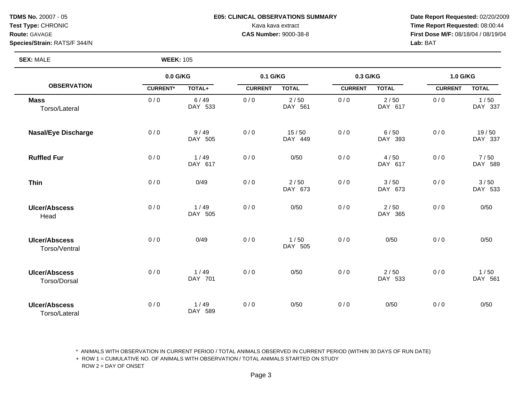## **TDMS No.** 20007 - 05 **E05: CLINICAL OBSERVATIONS SUMMARY Date Report Requested:** 02/20/2009

Test Type: CHRONIC **Test Type:** CHRONIC **Requested:** 08:00:44 **Route:** GAVAGE **CAS Number:** 9000-38-8 **First Dose M/F:** 08/18/04 / 08/19/04

**Species/Strain:** RATS/F 344/N **Lab:** BAT

# **SEX:** MALE **WEEK:** 105

|                                             | 0.0 G/KG        |                 | 0.1 G/KG       |                  | 0.3 G/KG       |                   | 1.0 G/KG       |                  |
|---------------------------------------------|-----------------|-----------------|----------------|------------------|----------------|-------------------|----------------|------------------|
| <b>OBSERVATION</b>                          | <b>CURRENT*</b> | TOTAL+          | <b>CURRENT</b> | <b>TOTAL</b>     | <b>CURRENT</b> | <b>TOTAL</b>      | <b>CURRENT</b> | <b>TOTAL</b>     |
| <b>Mass</b><br>Torso/Lateral                | 0/0             | 6/49<br>DAY 533 | 0/0            | 2/50<br>DAY 561  | 0/0            | 2/50<br>DAY 617   | 0/0            | 1/50<br>DAY 337  |
| <b>Nasal/Eye Discharge</b>                  | 0/0             | 9/49<br>DAY 505 | 0/0            | 15/50<br>DAY 449 | 0/0            | 6/50<br>DAY 393   | 0/0            | 19/50<br>DAY 337 |
| <b>Ruffled Fur</b>                          | 0/0             | 1/49<br>DAY 617 | 0/0            | 0/50             | 0/0            | 4/50<br>DAY 617   | 0/0            | 7/50<br>DAY 589  |
| <b>Thin</b>                                 | 0/0             | 0/49            | 0/0            | 2/50<br>DAY 673  | 0/0            | 3/50<br>DAY 673   | 0/0            | 3/50<br>DAY 533  |
| <b>Ulcer/Abscess</b><br>Head                | 0/0             | 1/49<br>DAY 505 | 0/0            | 0/50             | 0/0            | $2/50$<br>DAY 365 | 0/0            | 0/50             |
| <b>Ulcer/Abscess</b><br>Torso/Ventral       | 0/0             | 0/49            | 0/0            | 1/50<br>DAY 505  | 0/0            | 0/50              | 0/0            | 0/50             |
| <b>Ulcer/Abscess</b><br><b>Torso/Dorsal</b> | 0/0             | 1/49<br>DAY 701 | 0/0            | 0/50             | 0/0            | $2/50$<br>DAY 533 | 0/0            | 1/50<br>DAY 561  |
| <b>Ulcer/Abscess</b><br>Torso/Lateral       | 0/0             | 1/49<br>DAY 589 | 0/0            | 0/50             | 0/0            | 0/50              | 0/0            | 0/50             |

\* ANIMALS WITH OBSERVATION IN CURRENT PERIOD / TOTAL ANIMALS OBSERVED IN CURRENT PERIOD (WITHIN 30 DAYS OF RUN DATE)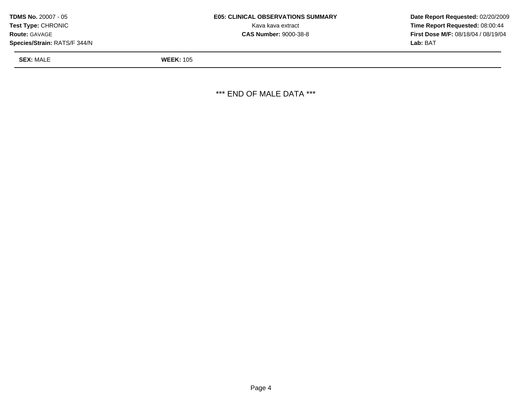| <b>TDMS No. 20007 - 05</b>   | <b>E05: CLINICAL OBSERVATIONS SUMMARY</b> | Date Report Requested: 02/20/2009          |
|------------------------------|-------------------------------------------|--------------------------------------------|
| <b>Test Type: CHRONIC</b>    | Kava kava extract                         | <b>Time Report Requested: 08:00:44</b>     |
| <b>Route: GAVAGE</b>         | <b>CAS Number: 9000-38-8</b>              | <b>First Dose M/F: 08/18/04 / 08/19/04</b> |
| Species/Strain: RATS/F 344/N |                                           | <b>Lab: BAT</b>                            |

**SEX:** MALE **WEEK:** 105

\*\*\* END OF MALE DATA \*\*\*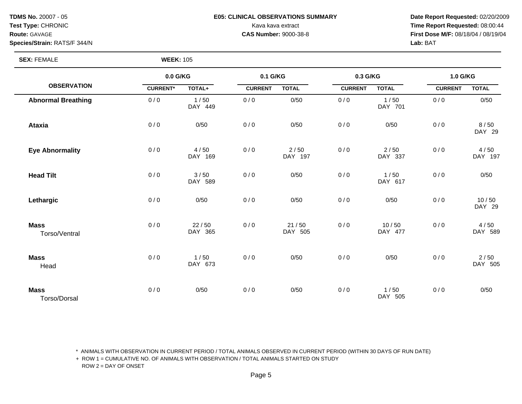# **TDMS No.** 20007 - 05 **E05: CLINICAL OBSERVATIONS SUMMARY Date Report Requested:** 02/20/2009

**Test Type:** CHRONIC **Transfer CHRONIC** Kava Rava extract Kava extract **Time Report Requested:** 08:00:44 **Route:** GAVAGE **CAS Number:** 9000-38-8 **First Dose M/F:** 08/18/04 / 08/19/04

**SEX: FEMALE** 

| <b>WEEK: 105</b> |  |
|------------------|--|
|------------------|--|

|                              | 0.0 G/KG        |                  | 0.1 G/KG       |                    | 0.3 G/KG       |                  | 1.0 G/KG       |                 |
|------------------------------|-----------------|------------------|----------------|--------------------|----------------|------------------|----------------|-----------------|
| <b>OBSERVATION</b>           | <b>CURRENT*</b> | TOTAL+           | <b>CURRENT</b> | <b>TOTAL</b>       | <b>CURRENT</b> | <b>TOTAL</b>     | <b>CURRENT</b> | <b>TOTAL</b>    |
| <b>Abnormal Breathing</b>    | 0/0             | 1/50<br>DAY 449  | 0/0            | 0/50               | 0/0            | 1/50<br>DAY 701  | 0/0            | 0/50            |
| <b>Ataxia</b>                | 0/0             | 0/50             | 0/0            | 0/50               | 0/0            | 0/50             | 0/0            | 8/50<br>DAY 29  |
| <b>Eye Abnormality</b>       | 0/0             | 4/50<br>DAY 169  | 0/0            | 2/50<br>DAY 197    | 0/0            | 2/50<br>DAY 337  | 0/0            | 4/50<br>DAY 197 |
| <b>Head Tilt</b>             | 0/0             | 3/50<br>DAY 589  | 0/0            | 0/50               | 0/0            | 1/50<br>DAY 617  | 0/0            | 0/50            |
| Lethargic                    | 0/0             | 0/50             | 0/0            | 0/50               | 0/0            | 0/50             | 0/0            | 10/50<br>DAY 29 |
| <b>Mass</b><br>Torso/Ventral | 0/0             | 22/50<br>DAY 365 | 0/0            | $21/50$<br>DAY 505 | 0/0            | 10/50<br>DAY 477 | 0/0            | 4/50<br>DAY 589 |
| <b>Mass</b><br>Head          | 0/0             | 1/50<br>DAY 673  | 0/0            | 0/50               | 0/0            | 0/50             | 0/0            | 2/50<br>DAY 505 |
| <b>Mass</b><br>Torso/Dorsal  | 0/0             | 0/50             | 0/0            | 0/50               | 0/0            | 1/50<br>DAY 505  | 0/0            | 0/50            |

\* ANIMALS WITH OBSERVATION IN CURRENT PERIOD / TOTAL ANIMALS OBSERVED IN CURRENT PERIOD (WITHIN 30 DAYS OF RUN DATE)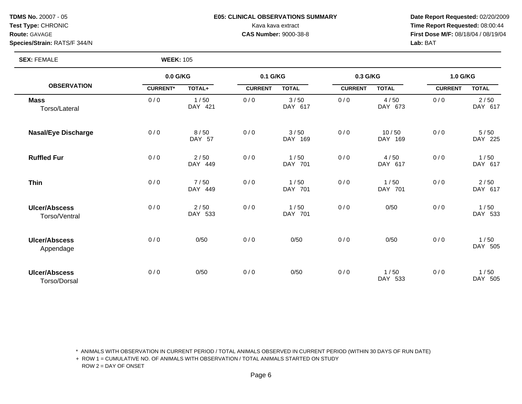# **TDMS No.** 20007 - 05 **E05: CLINICAL OBSERVATIONS SUMMARY Date Report Requested:** 02/20/2009

**Test Type:** CHRONIC **Transfer CHRONIC** Kava Rava extract Kava extract **Time Report Requested:** 08:00:44 **Route:** GAVAGE **CAS Number:** 9000-38-8 **First Dose M/F:** 08/18/04 / 08/19/04

**SEX: FEMALE** 

|                                       | 0.0 G/KG        |                 | 0.1 G/KG       |                 | 0.3 G/KG       |                  | 1.0 G/KG       |                 |
|---------------------------------------|-----------------|-----------------|----------------|-----------------|----------------|------------------|----------------|-----------------|
| <b>OBSERVATION</b>                    | <b>CURRENT*</b> | TOTAL+          | <b>CURRENT</b> | <b>TOTAL</b>    | <b>CURRENT</b> | <b>TOTAL</b>     | <b>CURRENT</b> | <b>TOTAL</b>    |
| <b>Mass</b><br>Torso/Lateral          | 0/0             | 1/50<br>DAY 421 | 0/0            | 3/50<br>DAY 617 | 0/0            | 4/50<br>DAY 673  | 0/0            | 2/50<br>DAY 617 |
| <b>Nasal/Eye Discharge</b>            | 0/0             | 8/50<br>DAY 57  | 0/0            | 3/50<br>DAY 169 | 0/0            | 10/50<br>DAY 169 | 0/0            | 5/50<br>DAY 225 |
| <b>Ruffled Fur</b>                    | 0/0             | 2/50<br>DAY 449 | 0/0            | 1/50<br>DAY 701 | 0/0            | 4/50<br>DAY 617  | 0/0            | 1/50<br>DAY 617 |
| <b>Thin</b>                           | 0/0             | 7/50<br>DAY 449 | 0/0            | 1/50<br>DAY 701 | 0/0            | 1/50<br>DAY 701  | 0/0            | 2/50<br>DAY 617 |
| <b>Ulcer/Abscess</b><br>Torso/Ventral | 0/0             | 2/50<br>DAY 533 | 0/0            | 1/50<br>DAY 701 | 0/0            | 0/50             | 0/0            | 1/50<br>DAY 533 |
| <b>Ulcer/Abscess</b><br>Appendage     | 0/0             | 0/50            | 0/0            | 0/50            | 0/0            | 0/50             | 0/0            | 1/50<br>DAY 505 |
| <b>Ulcer/Abscess</b><br>Torso/Dorsal  | 0/0             | 0/50            | 0/0            | 0/50            | 0/0            | 1/50<br>DAY 533  | 0/0            | 1/50<br>DAY 505 |

\* ANIMALS WITH OBSERVATION IN CURRENT PERIOD / TOTAL ANIMALS OBSERVED IN CURRENT PERIOD (WITHIN 30 DAYS OF RUN DATE)